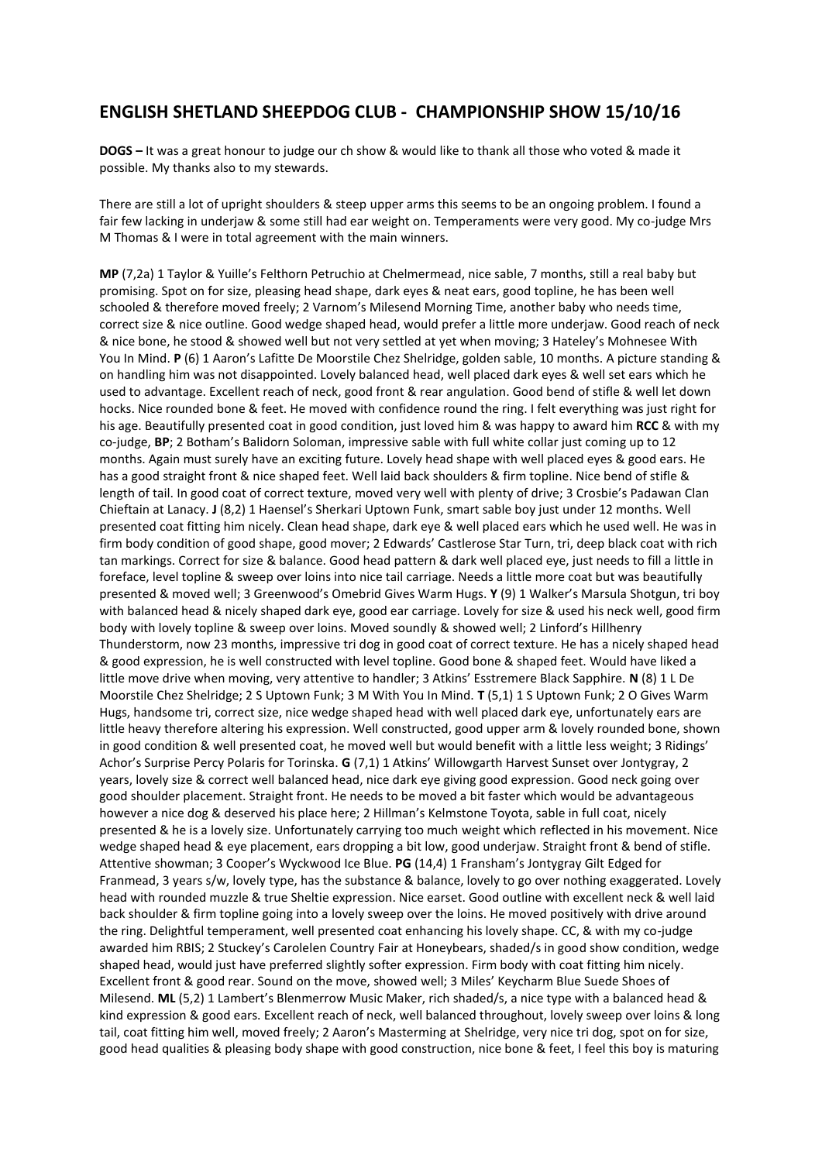## **ENGLISH SHETLAND SHEEPDOG CLUB - CHAMPIONSHIP SHOW 15/10/16**

**DOGS –** It was a great honour to judge our ch show & would like to thank all those who voted & made it possible. My thanks also to my stewards.

There are still a lot of upright shoulders & steep upper arms this seems to be an ongoing problem. I found a fair few lacking in underjaw & some still had ear weight on. Temperaments were very good. My co-judge Mrs M Thomas & I were in total agreement with the main winners.

**MP** (7,2a) 1 Taylor & Yuille's Felthorn Petruchio at Chelmermead, nice sable, 7 months, still a real baby but promising. Spot on for size, pleasing head shape, dark eyes & neat ears, good topline, he has been well schooled & therefore moved freely; 2 Varnom's Milesend Morning Time, another baby who needs time, correct size & nice outline. Good wedge shaped head, would prefer a little more underjaw. Good reach of neck & nice bone, he stood & showed well but not very settled at yet when moving; 3 Hateley's Mohnesee With You In Mind. **P** (6) 1 Aaron's Lafitte De Moorstile Chez Shelridge, golden sable, 10 months. A picture standing & on handling him was not disappointed. Lovely balanced head, well placed dark eyes & well set ears which he used to advantage. Excellent reach of neck, good front & rear angulation. Good bend of stifle & well let down hocks. Nice rounded bone & feet. He moved with confidence round the ring. I felt everything was just right for his age. Beautifully presented coat in good condition, just loved him & was happy to award him **RCC** & with my co-judge, **BP**; 2 Botham's Balidorn Soloman, impressive sable with full white collar just coming up to 12 months. Again must surely have an exciting future. Lovely head shape with well placed eyes & good ears. He has a good straight front & nice shaped feet. Well laid back shoulders & firm topline. Nice bend of stifle & length of tail. In good coat of correct texture, moved very well with plenty of drive; 3 Crosbie's Padawan Clan Chieftain at Lanacy. **J** (8,2) 1 Haensel's Sherkari Uptown Funk, smart sable boy just under 12 months. Well presented coat fitting him nicely. Clean head shape, dark eye & well placed ears which he used well. He was in firm body condition of good shape, good mover; 2 Edwards' Castlerose Star Turn, tri, deep black coat with rich tan markings. Correct for size & balance. Good head pattern & dark well placed eye, just needs to fill a little in foreface, level topline & sweep over loins into nice tail carriage. Needs a little more coat but was beautifully presented & moved well; 3 Greenwood's Omebrid Gives Warm Hugs. **Y** (9) 1 Walker's Marsula Shotgun, tri boy with balanced head & nicely shaped dark eye, good ear carriage. Lovely for size & used his neck well, good firm body with lovely topline & sweep over loins. Moved soundly & showed well; 2 Linford's Hillhenry Thunderstorm, now 23 months, impressive tri dog in good coat of correct texture. He has a nicely shaped head & good expression, he is well constructed with level topline. Good bone & shaped feet. Would have liked a little move drive when moving, very attentive to handler; 3 Atkins' Esstremere Black Sapphire. **N** (8) 1 L De Moorstile Chez Shelridge; 2 S Uptown Funk; 3 M With You In Mind. **T** (5,1) 1 S Uptown Funk; 2 O Gives Warm Hugs, handsome tri, correct size, nice wedge shaped head with well placed dark eye, unfortunately ears are little heavy therefore altering his expression. Well constructed, good upper arm & lovely rounded bone, shown in good condition & well presented coat, he moved well but would benefit with a little less weight; 3 Ridings' Achor's Surprise Percy Polaris for Torinska. **G** (7,1) 1 Atkins' Willowgarth Harvest Sunset over Jontygray, 2 years, lovely size & correct well balanced head, nice dark eye giving good expression. Good neck going over good shoulder placement. Straight front. He needs to be moved a bit faster which would be advantageous however a nice dog & deserved his place here; 2 Hillman's Kelmstone Toyota, sable in full coat, nicely presented & he is a lovely size. Unfortunately carrying too much weight which reflected in his movement. Nice wedge shaped head & eye placement, ears dropping a bit low, good underjaw. Straight front & bend of stifle. Attentive showman; 3 Cooper's Wyckwood Ice Blue. **PG** (14,4) 1 Fransham's Jontygray Gilt Edged for Franmead, 3 years s/w, lovely type, has the substance & balance, lovely to go over nothing exaggerated. Lovely head with rounded muzzle & true Sheltie expression. Nice earset. Good outline with excellent neck & well laid back shoulder & firm topline going into a lovely sweep over the loins. He moved positively with drive around the ring. Delightful temperament, well presented coat enhancing his lovely shape. CC, & with my co-judge awarded him RBIS; 2 Stuckey's Carolelen Country Fair at Honeybears, shaded/s in good show condition, wedge shaped head, would just have preferred slightly softer expression. Firm body with coat fitting him nicely. Excellent front & good rear. Sound on the move, showed well; 3 Miles' Keycharm Blue Suede Shoes of Milesend. **ML** (5,2) 1 Lambert's Blenmerrow Music Maker, rich shaded/s, a nice type with a balanced head & kind expression & good ears. Excellent reach of neck, well balanced throughout, lovely sweep over loins & long tail, coat fitting him well, moved freely; 2 Aaron's Masterming at Shelridge, very nice tri dog, spot on for size, good head qualities & pleasing body shape with good construction, nice bone & feet, I feel this boy is maturing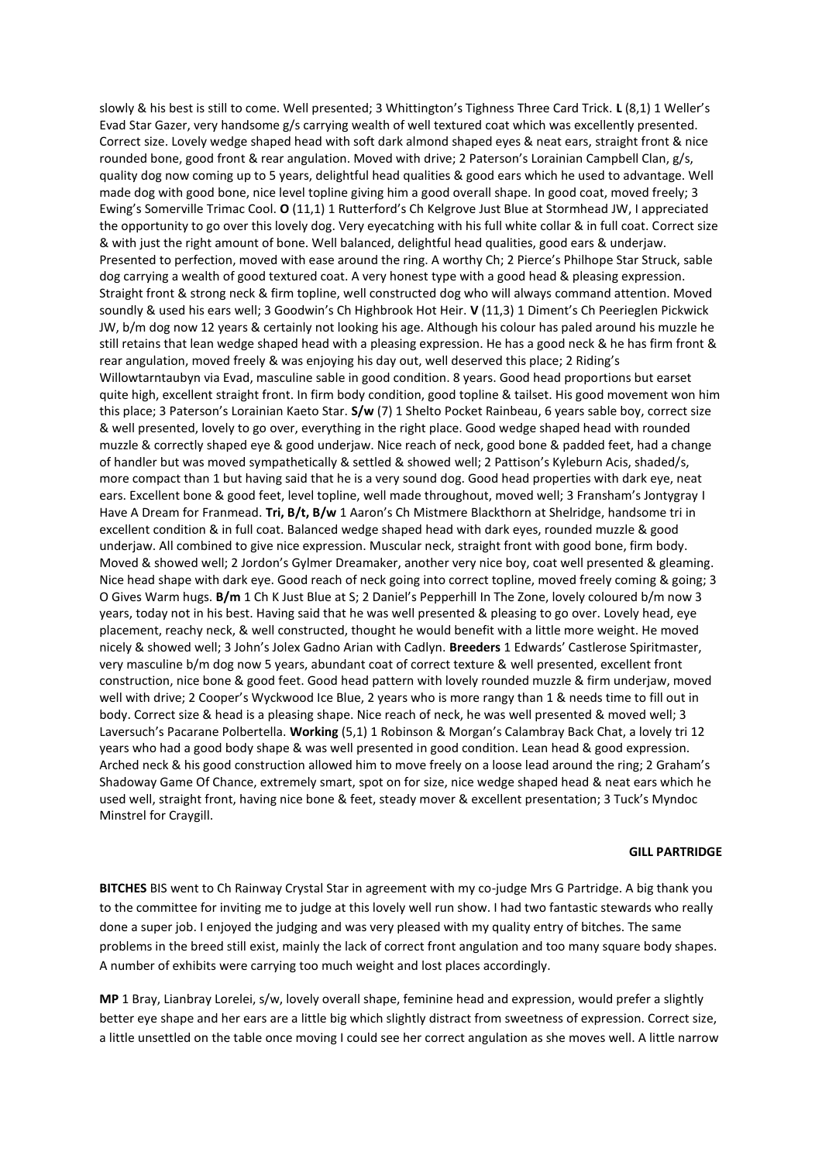slowly & his best is still to come. Well presented; 3 Whittington's Tighness Three Card Trick. **L** (8,1) 1 Weller's Evad Star Gazer, very handsome g/s carrying wealth of well textured coat which was excellently presented. Correct size. Lovely wedge shaped head with soft dark almond shaped eyes & neat ears, straight front & nice rounded bone, good front & rear angulation. Moved with drive; 2 Paterson's Lorainian Campbell Clan, g/s, quality dog now coming up to 5 years, delightful head qualities & good ears which he used to advantage. Well made dog with good bone, nice level topline giving him a good overall shape. In good coat, moved freely; 3 Ewing's Somerville Trimac Cool. **O** (11,1) 1 Rutterford's Ch Kelgrove Just Blue at Stormhead JW, I appreciated the opportunity to go over this lovely dog. Very eyecatching with his full white collar & in full coat. Correct size & with just the right amount of bone. Well balanced, delightful head qualities, good ears & underjaw. Presented to perfection, moved with ease around the ring. A worthy Ch; 2 Pierce's Philhope Star Struck, sable dog carrying a wealth of good textured coat. A very honest type with a good head & pleasing expression. Straight front & strong neck & firm topline, well constructed dog who will always command attention. Moved soundly & used his ears well; 3 Goodwin's Ch Highbrook Hot Heir. **V** (11,3) 1 Diment's Ch Peerieglen Pickwick JW, b/m dog now 12 years & certainly not looking his age. Although his colour has paled around his muzzle he still retains that lean wedge shaped head with a pleasing expression. He has a good neck & he has firm front & rear angulation, moved freely & was enjoying his day out, well deserved this place; 2 Riding's Willowtarntaubyn via Evad, masculine sable in good condition. 8 years. Good head proportions but earset quite high, excellent straight front. In firm body condition, good topline & tailset. His good movement won him this place; 3 Paterson's Lorainian Kaeto Star. **S/w** (7) 1 Shelto Pocket Rainbeau, 6 years sable boy, correct size & well presented, lovely to go over, everything in the right place. Good wedge shaped head with rounded muzzle & correctly shaped eye & good underjaw. Nice reach of neck, good bone & padded feet, had a change of handler but was moved sympathetically & settled & showed well; 2 Pattison's Kyleburn Acis, shaded/s, more compact than 1 but having said that he is a very sound dog. Good head properties with dark eye, neat ears. Excellent bone & good feet, level topline, well made throughout, moved well; 3 Fransham's Jontygray I Have A Dream for Franmead. **Tri, B/t, B/w** 1 Aaron's Ch Mistmere Blackthorn at Shelridge, handsome tri in excellent condition & in full coat. Balanced wedge shaped head with dark eyes, rounded muzzle & good underjaw. All combined to give nice expression. Muscular neck, straight front with good bone, firm body. Moved & showed well; 2 Jordon's Gylmer Dreamaker, another very nice boy, coat well presented & gleaming. Nice head shape with dark eye. Good reach of neck going into correct topline, moved freely coming & going; 3 O Gives Warm hugs. **B/m** 1 Ch K Just Blue at S; 2 Daniel's Pepperhill In The Zone, lovely coloured b/m now 3 years, today not in his best. Having said that he was well presented & pleasing to go over. Lovely head, eye placement, reachy neck, & well constructed, thought he would benefit with a little more weight. He moved nicely & showed well; 3 John's Jolex Gadno Arian with Cadlyn. **Breeders** 1 Edwards' Castlerose Spiritmaster, very masculine b/m dog now 5 years, abundant coat of correct texture & well presented, excellent front construction, nice bone & good feet. Good head pattern with lovely rounded muzzle & firm underjaw, moved well with drive; 2 Cooper's Wyckwood Ice Blue, 2 years who is more rangy than 1 & needs time to fill out in body. Correct size & head is a pleasing shape. Nice reach of neck, he was well presented & moved well; 3 Laversuch's Pacarane Polbertella. **Working** (5,1) 1 Robinson & Morgan's Calambray Back Chat, a lovely tri 12 years who had a good body shape & was well presented in good condition. Lean head & good expression. Arched neck & his good construction allowed him to move freely on a loose lead around the ring; 2 Graham's Shadoway Game Of Chance, extremely smart, spot on for size, nice wedge shaped head & neat ears which he used well, straight front, having nice bone & feet, steady mover & excellent presentation; 3 Tuck's Myndoc Minstrel for Craygill.

## **GILL PARTRIDGE**

**BITCHES** BIS went to Ch Rainway Crystal Star in agreement with my co-judge Mrs G Partridge. A big thank you to the committee for inviting me to judge at this lovely well run show. I had two fantastic stewards who really done a super job. I enjoyed the judging and was very pleased with my quality entry of bitches. The same problems in the breed still exist, mainly the lack of correct front angulation and too many square body shapes. A number of exhibits were carrying too much weight and lost places accordingly.

**MP** 1 Bray, Lianbray Lorelei, s/w, lovely overall shape, feminine head and expression, would prefer a slightly better eye shape and her ears are a little big which slightly distract from sweetness of expression. Correct size, a little unsettled on the table once moving I could see her correct angulation as she moves well. A little narrow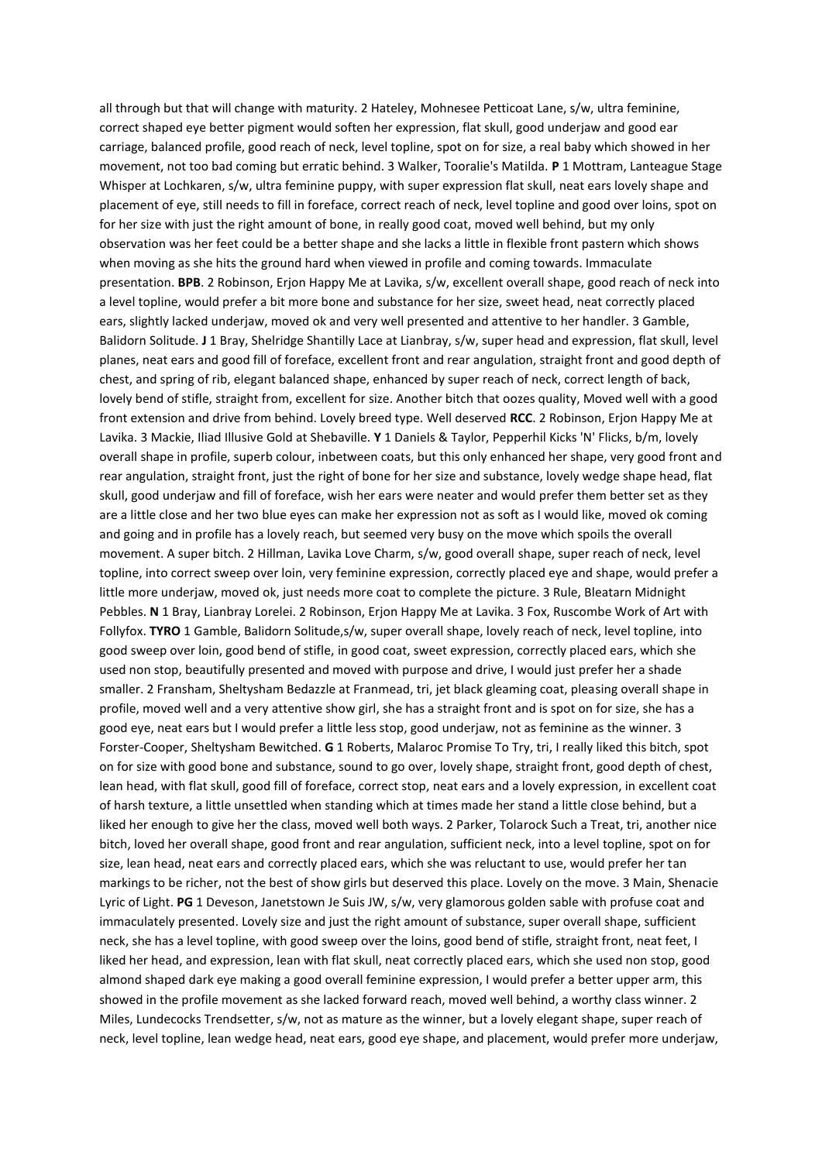all through but that will change with maturity. 2 Hateley, Mohnesee Petticoat Lane, s/w, ultra feminine, correct shaped eye better pigment would soften her expression, flat skull, good underjaw and good ear carriage, balanced profile, good reach of neck, level topline, spot on for size, a real baby which showed in her movement, not too bad coming but erratic behind. 3 Walker, Tooralie's Matilda. **P** 1 Mottram, Lanteague Stage Whisper at Lochkaren, s/w, ultra feminine puppy, with super expression flat skull, neat ears lovely shape and placement of eye, still needs to fill in foreface, correct reach of neck, level topline and good over loins, spot on for her size with just the right amount of bone, in really good coat, moved well behind, but my only observation was her feet could be a better shape and she lacks a little in flexible front pastern which shows when moving as she hits the ground hard when viewed in profile and coming towards. Immaculate presentation. **BPB**. 2 Robinson, Erjon Happy Me at Lavika, s/w, excellent overall shape, good reach of neck into a level topline, would prefer a bit more bone and substance for her size, sweet head, neat correctly placed ears, slightly lacked underjaw, moved ok and very well presented and attentive to her handler. 3 Gamble, Balidorn Solitude. **J** 1 Bray, Shelridge Shantilly Lace at Lianbray, s/w, super head and expression, flat skull, level planes, neat ears and good fill of foreface, excellent front and rear angulation, straight front and good depth of chest, and spring of rib, elegant balanced shape, enhanced by super reach of neck, correct length of back, lovely bend of stifle, straight from, excellent for size. Another bitch that oozes quality, Moved well with a good front extension and drive from behind. Lovely breed type. Well deserved **RCC**. 2 Robinson, Erjon Happy Me at Lavika. 3 Mackie, Iliad Illusive Gold at Shebaville. **Y** 1 Daniels & Taylor, Pepperhil Kicks 'N' Flicks, b/m, lovely overall shape in profile, superb colour, inbetween coats, but this only enhanced her shape, very good front and rear angulation, straight front, just the right of bone for her size and substance, lovely wedge shape head, flat skull, good underjaw and fill of foreface, wish her ears were neater and would prefer them better set as they are a little close and her two blue eyes can make her expression not as soft as I would like, moved ok coming and going and in profile has a lovely reach, but seemed very busy on the move which spoils the overall movement. A super bitch. 2 Hillman, Lavika Love Charm, s/w, good overall shape, super reach of neck, level topline, into correct sweep over loin, very feminine expression, correctly placed eye and shape, would prefer a little more underjaw, moved ok, just needs more coat to complete the picture. 3 Rule, Bleatarn Midnight Pebbles. **N** 1 Bray, Lianbray Lorelei. 2 Robinson, Erjon Happy Me at Lavika. 3 Fox, Ruscombe Work of Art with Follyfox. **TYRO** 1 Gamble, Balidorn Solitude,s/w, super overall shape, lovely reach of neck, level topline, into good sweep over loin, good bend of stifle, in good coat, sweet expression, correctly placed ears, which she used non stop, beautifully presented and moved with purpose and drive, I would just prefer her a shade smaller. 2 Fransham, Sheltysham Bedazzle at Franmead, tri, jet black gleaming coat, pleasing overall shape in profile, moved well and a very attentive show girl, she has a straight front and is spot on for size, she has a good eye, neat ears but I would prefer a little less stop, good underjaw, not as feminine as the winner. 3 Forster-Cooper, Sheltysham Bewitched. **G** 1 Roberts, Malaroc Promise To Try, tri, I really liked this bitch, spot on for size with good bone and substance, sound to go over, lovely shape, straight front, good depth of chest, lean head, with flat skull, good fill of foreface, correct stop, neat ears and a lovely expression, in excellent coat of harsh texture, a little unsettled when standing which at times made her stand a little close behind, but a liked her enough to give her the class, moved well both ways. 2 Parker, Tolarock Such a Treat, tri, another nice bitch, loved her overall shape, good front and rear angulation, sufficient neck, into a level topline, spot on for size, lean head, neat ears and correctly placed ears, which she was reluctant to use, would prefer her tan markings to be richer, not the best of show girls but deserved this place. Lovely on the move. 3 Main, Shenacie Lyric of Light. **PG** 1 Deveson, Janetstown Je Suis JW, s/w, very glamorous golden sable with profuse coat and immaculately presented. Lovely size and just the right amount of substance, super overall shape, sufficient neck, she has a level topline, with good sweep over the loins, good bend of stifle, straight front, neat feet, I liked her head, and expression, lean with flat skull, neat correctly placed ears, which she used non stop, good almond shaped dark eye making a good overall feminine expression, I would prefer a better upper arm, this showed in the profile movement as she lacked forward reach, moved well behind, a worthy class winner. 2 Miles, Lundecocks Trendsetter, s/w, not as mature as the winner, but a lovely elegant shape, super reach of neck, level topline, lean wedge head, neat ears, good eye shape, and placement, would prefer more underjaw,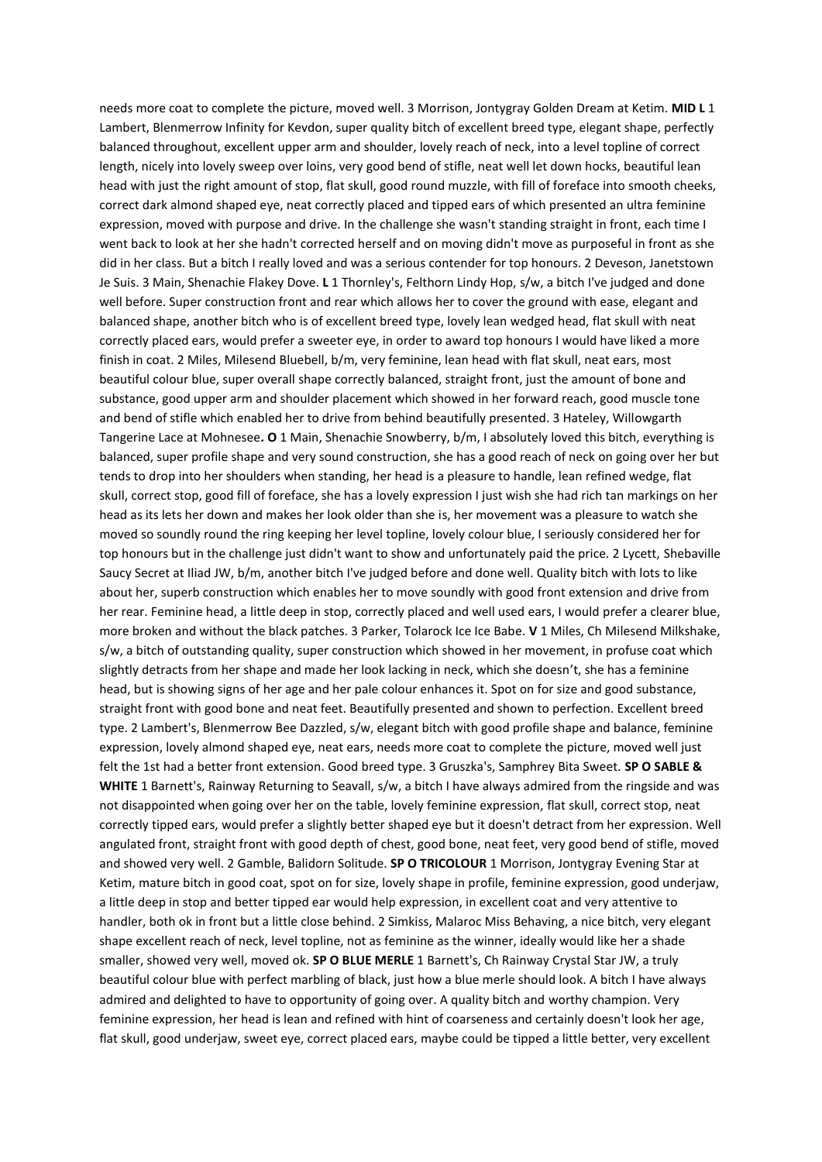needs more coat to complete the picture, moved well. 3 Morrison, Jontygray Golden Dream at Ketim. **MID L** 1 Lambert, Blenmerrow Infinity for Kevdon, super quality bitch of excellent breed type, elegant shape, perfectly balanced throughout, excellent upper arm and shoulder, lovely reach of neck, into a level topline of correct length, nicely into lovely sweep over loins, very good bend of stifle, neat well let down hocks, beautiful lean head with just the right amount of stop, flat skull, good round muzzle, with fill of foreface into smooth cheeks, correct dark almond shaped eye, neat correctly placed and tipped ears of which presented an ultra feminine expression, moved with purpose and drive. In the challenge she wasn't standing straight in front, each time I went back to look at her she hadn't corrected herself and on moving didn't move as purposeful in front as she did in her class. But a bitch I really loved and was a serious contender for top honours. 2 Deveson, Janetstown Je Suis. 3 Main, Shenachie Flakey Dove. **L** 1 Thornley's, Felthorn Lindy Hop, s/w, a bitch I've judged and done well before. Super construction front and rear which allows her to cover the ground with ease, elegant and balanced shape, another bitch who is of excellent breed type, lovely lean wedged head, flat skull with neat correctly placed ears, would prefer a sweeter eye, in order to award top honours I would have liked a more finish in coat. 2 Miles, Milesend Bluebell, b/m, very feminine, lean head with flat skull, neat ears, most beautiful colour blue, super overall shape correctly balanced, straight front, just the amount of bone and substance, good upper arm and shoulder placement which showed in her forward reach, good muscle tone and bend of stifle which enabled her to drive from behind beautifully presented. 3 Hateley, Willowgarth Tangerine Lace at Mohnesee**. O** 1 Main, Shenachie Snowberry, b/m, I absolutely loved this bitch, everything is balanced, super profile shape and very sound construction, she has a good reach of neck on going over her but tends to drop into her shoulders when standing, her head is a pleasure to handle, lean refined wedge, flat skull, correct stop, good fill of foreface, she has a lovely expression I just wish she had rich tan markings on her head as its lets her down and makes her look older than she is, her movement was a pleasure to watch she moved so soundly round the ring keeping her level topline, lovely colour blue, I seriously considered her for top honours but in the challenge just didn't want to show and unfortunately paid the price. 2 Lycett, Shebaville Saucy Secret at Iliad JW, b/m, another bitch I've judged before and done well. Quality bitch with lots to like about her, superb construction which enables her to move soundly with good front extension and drive from her rear. Feminine head, a little deep in stop, correctly placed and well used ears, I would prefer a clearer blue, more broken and without the black patches. 3 Parker, Tolarock Ice Ice Babe. **V** 1 Miles, Ch Milesend Milkshake, s/w, a bitch of outstanding quality, super construction which showed in her movement, in profuse coat which slightly detracts from her shape and made her look lacking in neck, which she doesn't, she has a feminine head, but is showing signs of her age and her pale colour enhances it. Spot on for size and good substance, straight front with good bone and neat feet. Beautifully presented and shown to perfection. Excellent breed type. 2 Lambert's, Blenmerrow Bee Dazzled, s/w, elegant bitch with good profile shape and balance, feminine expression, lovely almond shaped eye, neat ears, needs more coat to complete the picture, moved well just felt the 1st had a better front extension. Good breed type. 3 Gruszka's, Samphrey Bita Sweet. **SP O SABLE & WHITE** 1 Barnett's, Rainway Returning to Seavall, s/w, a bitch I have always admired from the ringside and was not disappointed when going over her on the table, lovely feminine expression, flat skull, correct stop, neat correctly tipped ears, would prefer a slightly better shaped eye but it doesn't detract from her expression. Well angulated front, straight front with good depth of chest, good bone, neat feet, very good bend of stifle, moved and showed very well. 2 Gamble, Balidorn Solitude. **SP O TRICOLOUR** 1 Morrison, Jontygray Evening Star at Ketim, mature bitch in good coat, spot on for size, lovely shape in profile, feminine expression, good underjaw, a little deep in stop and better tipped ear would help expression, in excellent coat and very attentive to handler, both ok in front but a little close behind. 2 Simkiss, Malaroc Miss Behaving, a nice bitch, very elegant shape excellent reach of neck, level topline, not as feminine as the winner, ideally would like her a shade smaller, showed very well, moved ok. **SP O BLUE MERLE** 1 Barnett's, Ch Rainway Crystal Star JW, a truly beautiful colour blue with perfect marbling of black, just how a blue merle should look. A bitch I have always admired and delighted to have to opportunity of going over. A quality bitch and worthy champion. Very feminine expression, her head is lean and refined with hint of coarseness and certainly doesn't look her age, flat skull, good underjaw, sweet eye, correct placed ears, maybe could be tipped a little better, very excellent